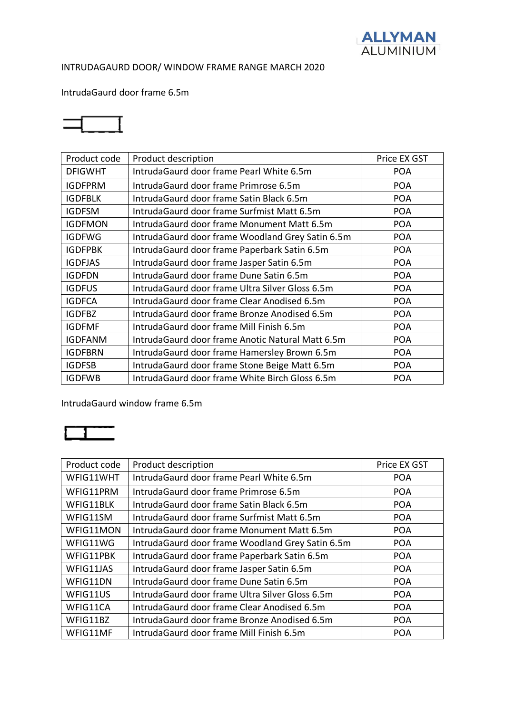

# INTRUDAGAURD DOOR/ WINDOW FRAME RANGE MARCH 2020

# IntrudaGaurd door frame 6.5m



| Product code   | Product description                               | Price EX GST |
|----------------|---------------------------------------------------|--------------|
| <b>DFIGWHT</b> | Intruda Gaurd door frame Pearl White 6.5m         | <b>POA</b>   |
| <b>IGDFPRM</b> | IntrudaGaurd door frame Primrose 6.5m             | <b>POA</b>   |
| <b>IGDFBLK</b> | Intruda Gaurd door frame Satin Black 6.5m         | <b>POA</b>   |
| <b>IGDFSM</b>  | Intruda Gaurd door frame Surfmist Matt 6.5m       | <b>POA</b>   |
| <b>IGDFMON</b> | IntrudaGaurd door frame Monument Matt 6.5m        | <b>POA</b>   |
| <b>IGDFWG</b>  | IntrudaGaurd door frame Woodland Grey Satin 6.5m  | <b>POA</b>   |
| <b>IGDFPBK</b> | IntrudaGaurd door frame Paperbark Satin 6.5m      | <b>POA</b>   |
| <b>IGDFJAS</b> | IntrudaGaurd door frame Jasper Satin 6.5m         | <b>POA</b>   |
| <b>IGDFDN</b>  | Intruda Gaurd door frame Dune Satin 6.5m          | <b>POA</b>   |
| <b>IGDFUS</b>  | Intruda Gaurd door frame Ultra Silver Gloss 6.5m  | <b>POA</b>   |
| <b>IGDFCA</b>  | IntrudaGaurd door frame Clear Anodised 6.5m       | <b>POA</b>   |
| <b>IGDFBZ</b>  | IntrudaGaurd door frame Bronze Anodised 6.5m      | <b>POA</b>   |
| <b>IGDFMF</b>  | IntrudaGaurd door frame Mill Finish 6.5m          | <b>POA</b>   |
| <b>IGDFANM</b> | Intruda Gaurd door frame Anotic Natural Matt 6.5m | <b>POA</b>   |
| <b>IGDFBRN</b> | IntrudaGaurd door frame Hamersley Brown 6.5m      | <b>POA</b>   |
| <b>IGDFSB</b>  | IntrudaGaurd door frame Stone Beige Matt 6.5m     | <b>POA</b>   |
| <b>IGDFWB</b>  | IntrudaGaurd door frame White Birch Gloss 6.5m    | <b>POA</b>   |

IntrudaGaurd window frame 6.5m

# $\blacksquare$

| Product code | Product description                              | Price EX GST |
|--------------|--------------------------------------------------|--------------|
| WFIG11WHT    | IntrudaGaurd door frame Pearl White 6.5m         | <b>POA</b>   |
| WFIG11PRM    | IntrudaGaurd door frame Primrose 6.5m            | <b>POA</b>   |
| WFIG11BLK    | IntrudaGaurd door frame Satin Black 6.5m         | <b>POA</b>   |
| WFIG11SM     | Intruda Gaurd door frame Surfmist Matt 6.5m      | <b>POA</b>   |
| WFIG11MON    | Intruda Gaurd door frame Monument Matt 6.5m      | <b>POA</b>   |
| WFIG11WG     | IntrudaGaurd door frame Woodland Grey Satin 6.5m | <b>POA</b>   |
| WFIG11PBK    | IntrudaGaurd door frame Paperbark Satin 6.5m     | <b>POA</b>   |
| WFIG11JAS    | IntrudaGaurd door frame Jasper Satin 6.5m        | <b>POA</b>   |
| WFIG11DN     | Intruda Gaurd door frame Dune Satin 6.5m         | <b>POA</b>   |
| WFIG11US     | Intruda Gaurd door frame Ultra Silver Gloss 6.5m | <b>POA</b>   |
| WFIG11CA     | Intruda Gaurd door frame Clear Anodised 6.5m     | <b>POA</b>   |
| WFIG11BZ     | Intruda Gaurd door frame Bronze Anodised 6.5m    | <b>POA</b>   |
| WFIG11MF     | IntrudaGaurd door frame Mill Finish 6.5m         | <b>POA</b>   |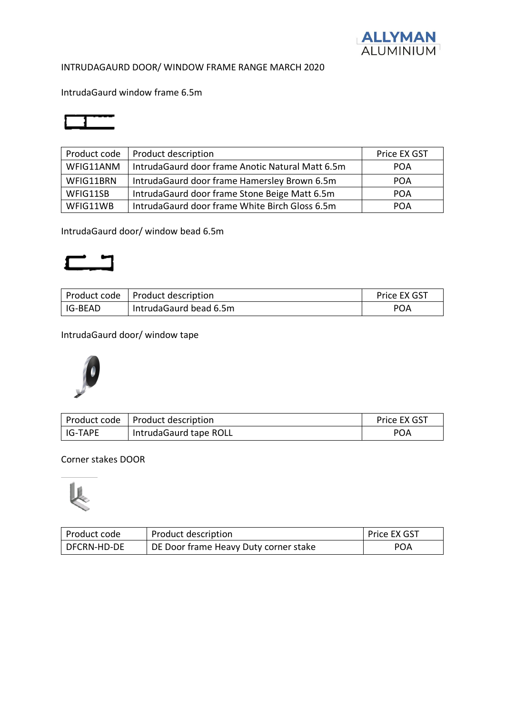

# INTRUDAGAURD DOOR/ WINDOW FRAME RANGE MARCH 2020

IntrudaGaurd window frame 6.5m

| Product code | Product description                              | Price EX GST |
|--------------|--------------------------------------------------|--------------|
| WFIG11ANM    | IntrudaGaurd door frame Anotic Natural Matt 6.5m | <b>POA</b>   |
| WFIG11BRN    | IntrudaGaurd door frame Hamersley Brown 6.5m     | <b>POA</b>   |
| WFIG11SB     | IntrudaGaurd door frame Stone Beige Matt 6.5m    | <b>POA</b>   |
| WFIG11WB     | IntrudaGaurd door frame White Birch Gloss 6.5m   | POA          |

IntrudaGaurd door/ window bead 6.5m

# $\Box$

|           | Product code   Product description | Price EX GST |
|-----------|------------------------------------|--------------|
| I IG-BEAD | IntrudaGaurd bead 6.5m             | <b>POA</b>   |

# IntrudaGaurd door/ window tape



|           | Product code   Product description | Price EX GST |
|-----------|------------------------------------|--------------|
| l IG-TAPE | IntrudaGaurd tape ROLL             | POA          |

# Corner stakes DOOR



| Product code  | Product description                   | Price EX GST |
|---------------|---------------------------------------|--------------|
| l DFCRN-HD-DE | DE Door frame Heavy Duty corner stake | <b>POA</b>   |